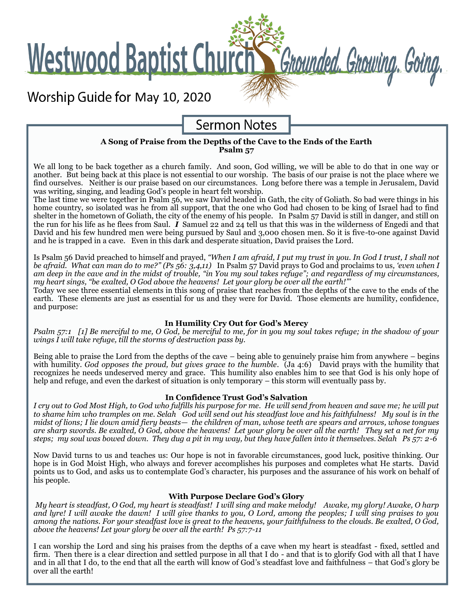**Westwood Baptist Church** 

Worship Guide for May 10, 2020



Grounded. Growing. Going.

### **A Song of Praise from the Depths of the Cave to the Ends of the Earth Psalm 57**

We all long to be back together as a church family. And soon, God willing, we will be able to do that in one way or another. But being back at this place is not essential to our worship. The basis of our praise is not the place where we find ourselves. Neither is our praise based on our circumstances. Long before there was a temple in Jerusalem, David was writing, singing, and leading God's people in heart felt worship.

The last time we were together in Psalm 56, we saw David headed in Gath, the city of Goliath. So bad were things in his home country, so isolated was he from all support, that the one who God had chosen to be king of Israel had to find shelter in the hometown of Goliath, the city of the enemy of his people. In Psalm 57 David is still in danger, and still on the run for his life as he flees from Saul.  $\dot{I}$  Samuel 22 and 24 tell us that this was in the wilderness of Engedi and that David and his few hundred men were being pursued by Saul and 3,000 chosen men. So it is five-to-one against David and he is trapped in a cave. Even in this dark and desperate situation, David praises the Lord.

Is Psalm 56 David preached to himself and prayed, *"When I am afraid, I put my trust in you. In God I trust, I shall not be afraid. What can man do to me?" (Ps 56: 3,4,11)* In Psalm 57 David prays to God and proclaims to us*, 'even when I am deep in the cave and in the midst of trouble, "in You my soul takes refuge"; and regardless of my circumstances, my heart sings, "be exalted, O God above the heavens! Let your glory be over all the earth!"'*

Today we see three essential elements in this song of praise that reaches from the depths of the cave to the ends of the earth. These elements are just as essential for us and they were for David. Those elements are humility, confidence, and purpose:

## **In Humility Cry Out for God's Mercy**

*Psalm 57:1 [1] Be merciful to me, O God, be merciful to me, for in you my soul takes refuge; in the shadow of your wings I will take refuge, till the storms of destruction pass by.*

Being able to praise the Lord from the depths of the cave – being able to genuinely praise him from anywhere – begins with humility. *God opposes the proud, but gives grace to the humble*. (Ja 4:6) David prays with the humility that recognizes he needs undeserved mercy and grace. This humility also enables him to see that God is his only hope of help and refuge, and even the darkest of situation is only temporary – this storm will eventually pass by.

### **In Confidence Trust God's Salvation**

*I cry out to God Most High, to God who fulfills his purpose for me. He will send from heaven and save me; he will put to shame him who tramples on me. Selah God will send out his steadfast love and his faithfulness! My soul is in the midst of lions; I lie down amid fiery beasts— the children of man, whose teeth are spears and arrows, whose tongues are sharp swords. Be exalted, O God, above the heavens! Let your glory be over all the earth! They set a net for my steps; my soul was bowed down. They dug a pit in my way, but they have fallen into it themselves. Selah Ps 57: 2-6*

Now David turns to us and teaches us: Our hope is not in favorable circumstances, good luck, positive thinking. Our hope is in God Moist High, who always and forever accomplishes his purposes and completes what He starts. David points us to God, and asks us to contemplate God's character, his purposes and the assurance of his work on behalf of his people.

## **With Purpose Declare God's Glory**

*My heart is steadfast, O God, my heart is steadfast! I will sing and make melody! Awake, my glory! Awake, O harp and lyre! I will awake the dawn! I will give thanks to you, O Lord, among the peoples; I will sing praises to you among the nations. For your steadfast love is great to the heavens, your faithfulness to the clouds. Be exalted, O God, above the heavens! Let your glory be over all the earth! Ps 57:7-11*

I can worship the Lord and sing his praises from the depths of a cave when my heart is steadfast - fixed, settled and firm. Then there is a clear direction and settled purpose in all that I do - and that is to glorify God with all that I have and in all that I do, to the end that all the earth will know of God's steadfast love and faithfulness – that God's glory be over all the earth!